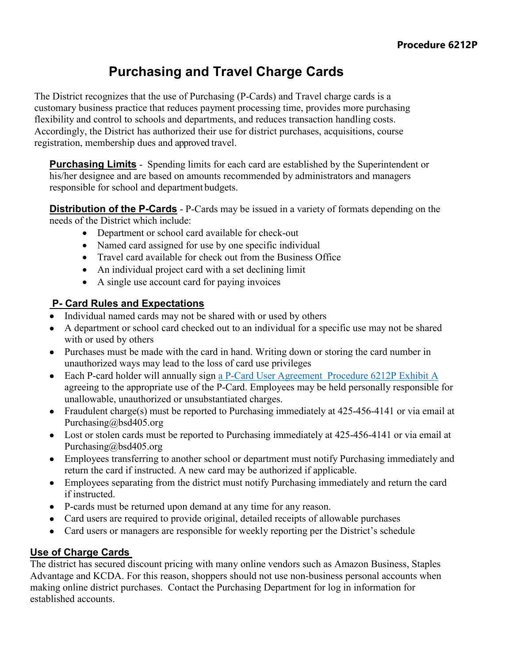# **Purchasing and Travel Charge Cards**

The District recognizes that the use of Purchasing (P-Cards) and Travel charge cards is a customary business practice that reduces payment processing time, provides more purchasing flexibility and control to schools and departments, and reduces transaction handling costs. Accordingly, the District has authorized their use for district purchases, acquisitions, course registration, membership dues and approved travel.

**Purchasing Limits** - Spending limits for each card are established by the Superintendent or his/her designee and are based on amounts recommended by administrators and managers responsible for school and department budgets.

**Distribution of the P-Cards** - P-Cards may be issued in a variety of formats depending on the needs of the District which include:

- Department or school card available for check-out
- Named card assigned for use by one specific individual
- Travel card available for check out from the Business Office
- An individual project card with a set declining limit
- A single use account card for paying invoices

## **P- Card Rules and Expectations**

- Individual named cards may not be shared with or used by others
- A department or school card checked out to an individual for a specific use may not be shared with or used by others
- Purchases must be made with the card in hand. Writing down or storing the card number in unauthorized ways may lead to the loss of card use privileges
- Each P-card holder will annually sign a P-Card User Agreement [Procedure 6212P Exhibit A](https://bsd405.org/wp-content/pdf/policy/6212P%20Exh.%20A.pdf) agreeing to the appropriate use of the P-Card. Employees may be held personally responsible for unallowable, unauthorized or unsubstantiated charges.
- Fraudulent charge(s) must be reported to Purchasing immediately at 425-456-4141 or via email at Purchasing@bsd405.org
- Lost or stolen cards must be reported to Purchasing immediately at 425-456-4141 or via email at Purchasing@bsd405.org
- Employees transferring to another school or department must notify Purchasing immediately and return the card if instructed. A new card may be authorized if applicable.
- Employees separating from the district must notify Purchasing immediately and return the card if instructed.
- P-cards must be returned upon demand at any time for any reason.
- Card users are required to provide original, detailed receipts of allowable purchases
- Card users or managers are responsible for weekly reporting per the District's schedule

## **Use of Charge Cards**

The district has secured discount pricing with many online vendors such as Amazon Business, Staples Advantage and KCDA. For this reason, shoppers should not use non-business personal accounts when making online district purchases. Contact the Purchasing Department for log in information for established accounts.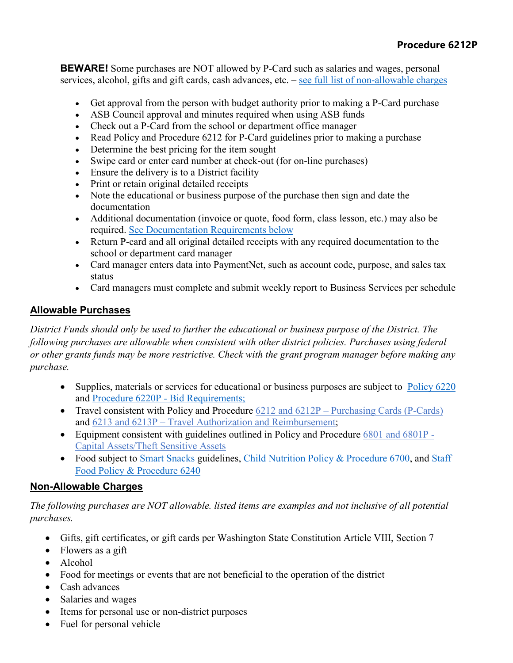**BEWARE!** Some purchases are NOT allowed by P-Card such as salaries and wages, personal services, alcohol, gifts and gift cards, cash advances, etc. – see full list of non-allowable charges

- Get approval from the person with budget authority prior to making a P-Card purchase
- ASB Council approval and minutes required when using ASB funds
- Check out a P-Card from the school or department office manager
- Read Policy and Procedure 6212 for P-Card guidelines prior to making a purchase
- Determine the best pricing for the item sought
- Swipe card or enter card number at check-out (for on-line purchases)
- Ensure the delivery is to a District facility
- Print or retain original detailed receipts
- Note the educational or business purpose of the purchase then sign and date the documentation
- Additional documentation (invoice or quote, food form, class lesson, etc.) may also be required. See Documentation Requirements below
- Return P-card and all original detailed receipts with any required documentation to the school or department card manager
- Card manager enters data into PaymentNet, such as account code, purpose, and sales tax status
- Card managers must complete and submit weekly report to Business Services per schedule

## **Allowable Purchases**

*District Funds should only be used to further the educational or business purpose of the District. The following purchases are allowable when consistent with other district policies. Purchases using federal or other grants funds may be more restrictive. Check with the grant program manager before making any purchase.*

- Supplies, materials or services for educational or business purposes are subject to [Policy 6220](https://bsd405.org/wp-content/pdf/policy/6220.pdf) and [Procedure 6220P](https://bsd405.org/wp-content/pdf/policy/6220P.pdf) - Bid Requirements;
- Travel consistent with Policy and Procedure 6212 and 6212P Purchasing Cards (P-Cards) and 6213 and 6213P – Travel Authorization and Reimbursement;
- Equipment consistent with guidelines outlined in Policy and Procedure 6801 and 6801P -Capital Assets/Theft Sensitive Assets
- Food subject to [Smart Snacks](https://www.fns.usda.gov/school-meals/tools-schools-focusing-smart-snacks) guidelines, [Child Nutrition Policy & Procedure 6700,](https://bsd405.org/wp-content/pdf/policy/6700.pdf) and Staff [Food Policy & Procedure 6240](https://bsd405.org/wp-content/pdf/policy/6240P.pdf)

#### **Non-Allowable Charges**

*The following purchases are NOT allowable. listed items are examples and not inclusive of all potential purchases.*

- Gifts, gift certificates, or gift cards per Washington State Constitution Article VIII, Section 7
- Flowers as a gift
- Alcohol
- Food for meetings or events that are not beneficial to the operation of the district
- Cash advances
- Salaries and wages
- Items for personal use or non-district purposes
- Fuel for personal vehicle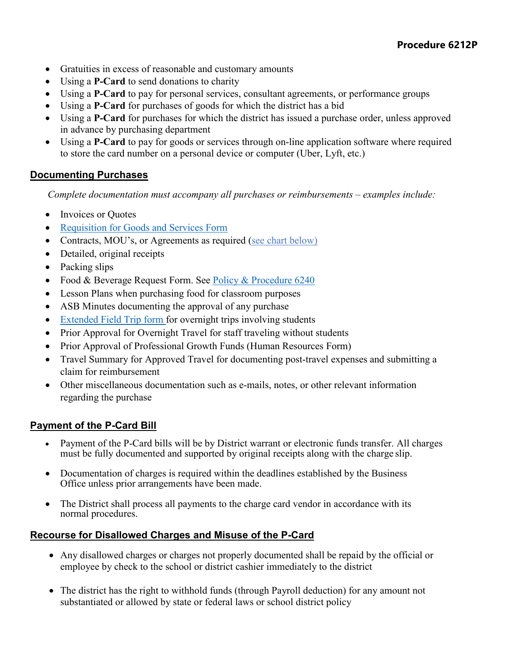- Gratuities in excess of reasonable and customary amounts
- Using a **P-Card** to send donations to charity
- Using a **P-Card** to pay for personal services, consultant agreements, or performance groups
- Using a **P-Card** for purchases of goods for which the district has a bid
- Using a **P-Card** for purchases for which the district has issued a purchase order, unless approved in advance by purchasing department
- Using a **P-Card** to pay for goods or services through on-line application software where required to store the card number on a personal device or computer (Uber, Lyft, etc.)

## **Documenting Purchases**

*Complete documentation must accompany all purchases or reimbursements – examples include:*

- Invoices or Quotes
- [Requisition for Goods and Services Form](https://bsd405.sharepoint.com/sites/businessservices/Forms/Forms/AllItems.aspx)
- Contracts, MOU's, or Agreements as required (see chart below)
- Detailed, original receipts
- Packing slips
- Food & Beverage Request Form. See [Policy & Procedure 6240](https://bsd405.org/wp-content/pdf/policy/6240P%20Exh.%20A.pdf)
- Lesson Plans when purchasing food for classroom purposes
- ASB Minutes documenting the approval of any purchase
- [Extended Field Trip form](https://bsd405.org/departments/athletics-activities/field-trips/) for overnight trips involving students
- Prior Approval for Overnight Travel for staff traveling without students
- Prior Approval of Professional Growth Funds (Human Resources Form)
- Travel Summary for Approved Travel for documenting post-travel expenses and submitting a claim for reimbursement
- Other miscellaneous documentation such as e-mails, notes, or other relevant information regarding the purchase

#### **Payment of the P-Card Bill**

- Payment of the P-Card bills will be by District warrant or electronic funds transfer. All charges must be fully documented and supported by original receipts along with the charge slip.
- Documentation of charges is required within the deadlines established by the Business Office unless prior arrangements have been made.
- The District shall process all payments to the charge card vendor in accordance with its normal procedures.

#### **Recourse for Disallowed Charges and Misuse of the P-Card**

- Any disallowed charges or charges not properly documented shall be repaid by the official or employee by check to the school or district cashier immediately to the district
- The district has the right to withhold funds (through Payroll deduction) for any amount not substantiated or allowed by state or federal laws or school district policy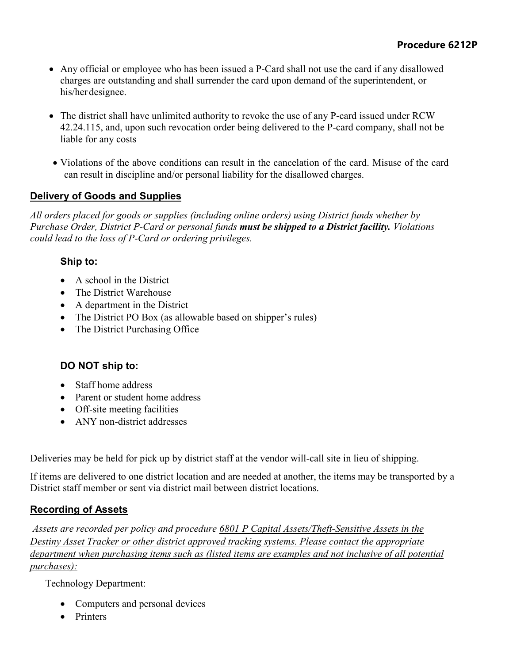- Any official or employee who has been issued a P-Card shall not use the card if any disallowed charges are outstanding and shall surrender the card upon demand of the superintendent, or his/her designee.
- The district shall have unlimited authority to revoke the use of any P-card issued under RCW 42.24.115, and, upon such revocation order being delivered to the P-card company, shall not be liable for any costs
- Violations of the above conditions can result in the cancelation of the card. Misuse of the card can result in discipline and/or personal liability for the disallowed charges.

## **Delivery of Goods and Supplies**

*All orders placed for goods or supplies (including online orders) using District funds whether by Purchase Order, District P-Card or personal funds must be shipped to a District facility. Violations could lead to the loss of P-Card or ordering privileges.*

## **Ship to:**

- A school in the District
- The District Warehouse
- A department in the District
- The District PO Box (as allowable based on shipper's rules)
- The District Purchasing Office

## **DO NOT ship to:**

- Staff home address
- Parent or student home address
- Off-site meeting facilities
- ANY non-district addresses

Deliveries may be held for pick up by district staff at the vendor will-call site in lieu of shipping.

If items are delivered to one district location and are needed at another, the items may be transported by a District staff member or sent via district mail between district locations.

## **Recording of Assets**

*Assets are recorded per policy and procedure [6801 P Capital Assets/Theft-Sensitive Assets](https://bsd405.org/wp-content/pdf/policy/6801.pdf) in the Destiny Asset Tracker or other district approved tracking systems. Please contact the appropriate department when purchasing items such as (listed items are examples and not inclusive of all potential purchases):*

Technology Department:

- Computers and personal devices
- Printers